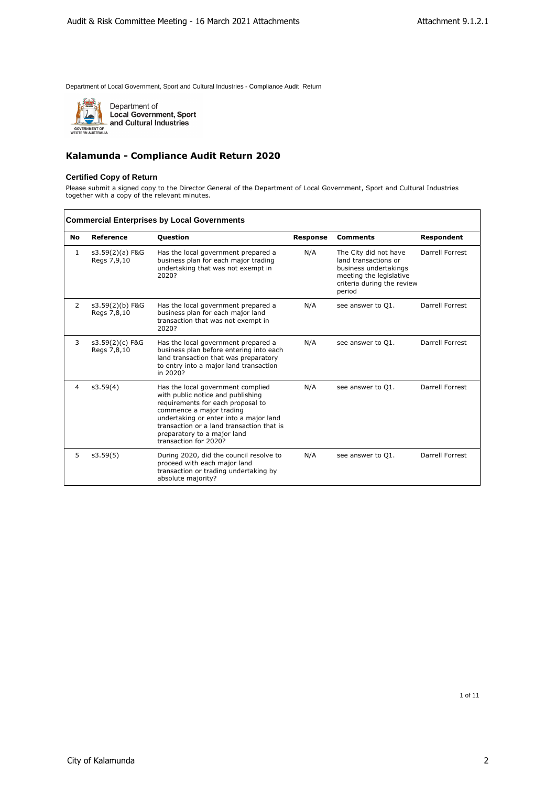

 $\mathbf{r}$ 

Department of<br>Local Government, Sport<br>and Cultural Industries

## **Kalamunda - Compliance Audit Return 2020**

#### **Certified Copy of Return**

Please submit a signed copy to the Director General of the Department of Local Government, Sport and Cultural Industries together with a copy of the relevant minutes.

|    |                                | <b>Commercial Enterprises by Local Governments</b>                                                                                                                                                                                                                                     |                 |                                                                                                                                           |                 |
|----|--------------------------------|----------------------------------------------------------------------------------------------------------------------------------------------------------------------------------------------------------------------------------------------------------------------------------------|-----------------|-------------------------------------------------------------------------------------------------------------------------------------------|-----------------|
| No | Reference                      | <b>Question</b>                                                                                                                                                                                                                                                                        | <b>Response</b> | <b>Comments</b>                                                                                                                           | Respondent      |
| 1  | s3.59(2)(a) F&G<br>Regs 7,9,10 | Has the local government prepared a<br>business plan for each major trading<br>undertaking that was not exempt in<br>2020?                                                                                                                                                             | N/A             | The City did not have<br>land transactions or<br>business undertakings<br>meeting the legislative<br>criteria during the review<br>period | Darrell Forrest |
| 2  | s3.59(2)(b) F&G<br>Regs 7,8,10 | Has the local government prepared a<br>business plan for each major land<br>transaction that was not exempt in<br>2020?                                                                                                                                                                | N/A             | see answer to Q1.                                                                                                                         | Darrell Forrest |
| 3  | s3.59(2)(c) F&G<br>Regs 7,8,10 | Has the local government prepared a<br>business plan before entering into each<br>land transaction that was preparatory<br>to entry into a major land transaction<br>in 2020?                                                                                                          | N/A             | see answer to Q1.                                                                                                                         | Darrell Forrest |
| 4  | s3.59(4)                       | Has the local government complied<br>with public notice and publishing<br>requirements for each proposal to<br>commence a major trading<br>undertaking or enter into a major land<br>transaction or a land transaction that is<br>preparatory to a major land<br>transaction for 2020? | N/A             | see answer to Q1.                                                                                                                         | Darrell Forrest |
| 5  | s3.59(5)                       | During 2020, did the council resolve to<br>proceed with each major land<br>transaction or trading undertaking by<br>absolute majority?                                                                                                                                                 | N/A             | see answer to Q1.                                                                                                                         | Darrell Forrest |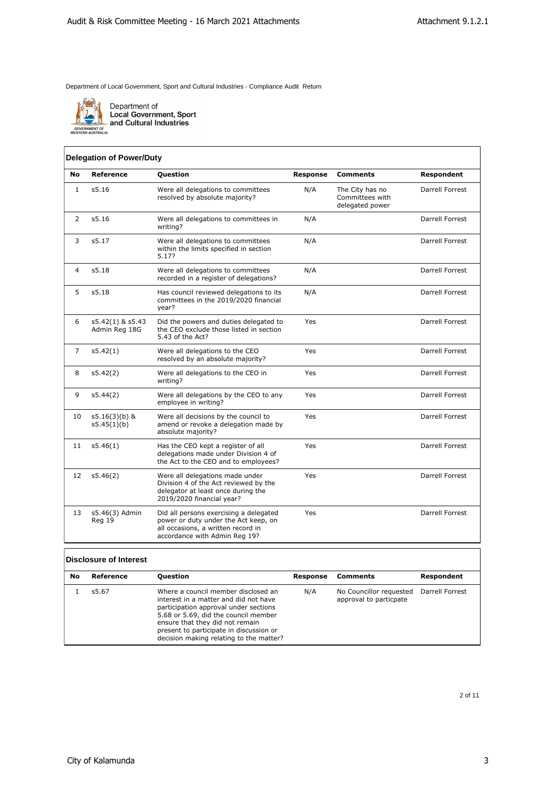

Department of<br>Local Government, Sport<br>and Cultural Industries

## **Delegation of Power/Duty**

| <b>No</b>      | Reference                         | <b>Question</b>                                                                                                                                       | <b>Response</b> | <b>Comments</b>                                       | Respondent             |
|----------------|-----------------------------------|-------------------------------------------------------------------------------------------------------------------------------------------------------|-----------------|-------------------------------------------------------|------------------------|
| $\mathbf{1}$   | s5.16                             | Were all delegations to committees<br>resolved by absolute majority?                                                                                  | N/A             | The City has no<br>Committees with<br>delegated power | Darrell Forrest        |
| 2              | s5.16                             | Were all delegations to committees in<br>writing?                                                                                                     | N/A             |                                                       | Darrell Forrest        |
| 3              | s5.17                             | Were all delegations to committees<br>within the limits specified in section<br>5.17?                                                                 | N/A             |                                                       | Darrell Forrest        |
| $\overline{4}$ | s5.18                             | Were all delegations to committees<br>recorded in a register of delegations?                                                                          | N/A             |                                                       | Darrell Forrest        |
| 5              | s5.18                             | Has council reviewed delegations to its<br>committees in the 2019/2020 financial<br>year?                                                             | N/A             |                                                       | Darrell Forrest        |
| 6              | s5.42(1) & s5.43<br>Admin Reg 18G | Did the powers and duties delegated to<br>the CEO exclude those listed in section<br>5.43 of the Act?                                                 | Yes             |                                                       | <b>Darrell Forrest</b> |
| $\overline{7}$ | s5.42(1)                          | Were all delegations to the CEO<br>resolved by an absolute majority?                                                                                  | Yes             |                                                       | Darrell Forrest        |
| 8              | s5.42(2)                          | Were all delegations to the CEO in<br>writing?                                                                                                        | Yes             |                                                       | Darrell Forrest        |
| 9              | s5.44(2)                          | Were all delegations by the CEO to any<br>employee in writing?                                                                                        | Yes             |                                                       | Darrell Forrest        |
| 10             | $s5.16(3)(b)$ &<br>s5.45(1)(b)    | Were all decisions by the council to<br>amend or revoke a delegation made by<br>absolute majority?                                                    | Yes             |                                                       | Darrell Forrest        |
| 11             | s5.46(1)                          | Has the CEO kept a register of all<br>delegations made under Division 4 of<br>the Act to the CEO and to employees?                                    | Yes             |                                                       | Darrell Forrest        |
| 12             | s5.46(2)                          | Were all delegations made under<br>Division 4 of the Act reviewed by the<br>delegator at least once during the<br>2019/2020 financial year?           | Yes             |                                                       | Darrell Forrest        |
| 13             | s5.46(3) Admin<br>Reg 19          | Did all persons exercising a delegated<br>power or duty under the Act keep, on<br>all occasions, a written record in<br>accordance with Admin Reg 19? | Yes             |                                                       | Darrell Forrest        |

# **Disclosure of Interest**

| No | Reference | Question                                                                                                                                                                                                                                                                               | Response | Comments                                                          | <b>Respondent</b> |
|----|-----------|----------------------------------------------------------------------------------------------------------------------------------------------------------------------------------------------------------------------------------------------------------------------------------------|----------|-------------------------------------------------------------------|-------------------|
|    | s5.67     | Where a council member disclosed an<br>interest in a matter and did not have<br>participation approval under sections<br>5.68 or 5.69, did the council member<br>ensure that they did not remain<br>present to participate in discussion or<br>decision making relating to the matter? | N/A      | No Councillor requested Darrell Forrest<br>approval to particpate |                   |

2 of 11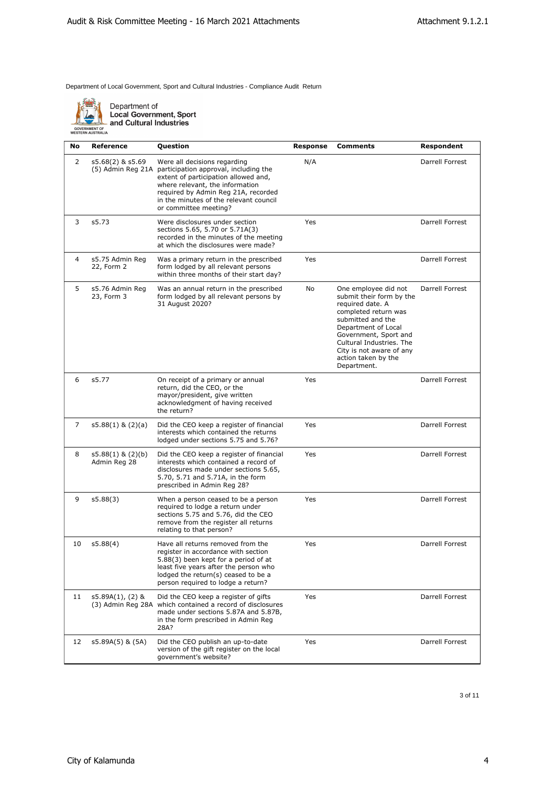

Department of<br>Local Government, Sport<br>- and Cultural Industries

| No.            | <b>Reference</b>                         | Question                                                                                                                                                                                                                                                                     | <b>Response</b> | Comments                                                                                                                                                                                                                                                        | Respondent      |
|----------------|------------------------------------------|------------------------------------------------------------------------------------------------------------------------------------------------------------------------------------------------------------------------------------------------------------------------------|-----------------|-----------------------------------------------------------------------------------------------------------------------------------------------------------------------------------------------------------------------------------------------------------------|-----------------|
| 2              | s5.68(2) & s5.69                         | Were all decisions regarding<br>(5) Admin Reg 21A participation approval, including the<br>extent of participation allowed and,<br>where relevant, the information<br>required by Admin Reg 21A, recorded<br>in the minutes of the relevant council<br>or committee meeting? | N/A             |                                                                                                                                                                                                                                                                 | Darrell Forrest |
| 3              | s5.73                                    | Were disclosures under section<br>sections 5.65, 5.70 or 5.71A(3)<br>recorded in the minutes of the meeting<br>at which the disclosures were made?                                                                                                                           | Yes             |                                                                                                                                                                                                                                                                 | Darrell Forrest |
| 4              | s5.75 Admin Reg<br>22, Form 2            | Was a primary return in the prescribed<br>form lodged by all relevant persons<br>within three months of their start day?                                                                                                                                                     | Yes             |                                                                                                                                                                                                                                                                 | Darrell Forrest |
| 5              | s5.76 Admin Reg<br>23, Form 3            | Was an annual return in the prescribed<br>form lodged by all relevant persons by<br>31 August 2020?                                                                                                                                                                          | No              | One employee did not<br>submit their form by the<br>required date. A<br>completed return was<br>submitted and the<br>Department of Local<br>Government, Sport and<br>Cultural Industries. The<br>City is not aware of any<br>action taken by the<br>Department. | Darrell Forrest |
| 6              | s5.77                                    | On receipt of a primary or annual<br>return, did the CEO, or the<br>mayor/president, give written<br>acknowledgment of having received<br>the return?                                                                                                                        | Yes             |                                                                                                                                                                                                                                                                 | Darrell Forrest |
| $\overline{7}$ | $s5.88(1)$ & $(2)(a)$                    | Did the CEO keep a register of financial<br>interests which contained the returns<br>lodged under sections 5.75 and 5.76?                                                                                                                                                    | Yes             |                                                                                                                                                                                                                                                                 | Darrell Forrest |
| 8              | $s5.88(1)$ & $(2)(b)$<br>Admin Reg 28    | Did the CEO keep a register of financial<br>interests which contained a record of<br>disclosures made under sections 5.65,<br>5.70, 5.71 and 5.71A, in the form<br>prescribed in Admin Reg 28?                                                                               | Yes             |                                                                                                                                                                                                                                                                 | Darrell Forrest |
| 9              | s5.88(3)                                 | When a person ceased to be a person<br>required to lodge a return under<br>sections 5.75 and 5.76, did the CEO<br>remove from the register all returns<br>relating to that person?                                                                                           | Yes             |                                                                                                                                                                                                                                                                 | Darrell Forrest |
| 10             | s5.88(4)                                 | Have all returns removed from the<br>register in accordance with section<br>5.88(3) been kept for a period of at<br>least five years after the person who<br>lodged the return(s) ceased to be a<br>person required to lodge a return?                                       | Yes             |                                                                                                                                                                                                                                                                 | Darrell Forrest |
| 11             | $s5.89A(1)$ , (2) &<br>(3) Admin Reg 28A | Did the CEO keep a register of gifts<br>which contained a record of disclosures<br>made under sections 5.87A and 5.87B,<br>in the form prescribed in Admin Reg<br>28A?                                                                                                       | Yes             |                                                                                                                                                                                                                                                                 | Darrell Forrest |
| 12             | s5.89A(5) & (5A)                         | Did the CEO publish an up-to-date<br>version of the gift register on the local<br>qovernment's website?                                                                                                                                                                      | Yes             |                                                                                                                                                                                                                                                                 | Darrell Forrest |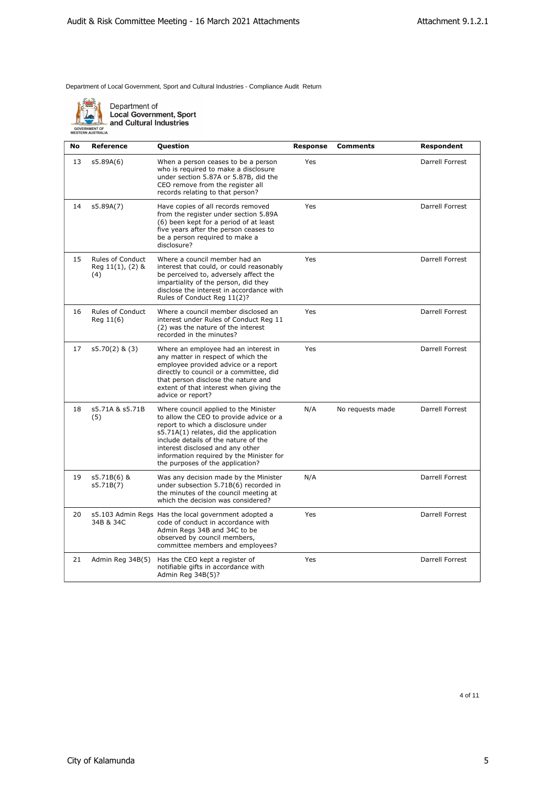

Department of<br>Local Government, Sport<br>and Cultural Industries

| <b>No</b> | <b>Reference</b>                            | <b>Question</b>                                                                                                                                                                                                                                                                                                              | <b>Response</b> | <b>Comments</b>  | Respondent      |
|-----------|---------------------------------------------|------------------------------------------------------------------------------------------------------------------------------------------------------------------------------------------------------------------------------------------------------------------------------------------------------------------------------|-----------------|------------------|-----------------|
| 13        | s5.89A(6)                                   | When a person ceases to be a person<br>who is required to make a disclosure<br>under section 5.87A or 5.87B, did the<br>CEO remove from the register all<br>records relating to that person?                                                                                                                                 | Yes             |                  | Darrell Forrest |
| 14        | s5.89A(7)                                   | Have copies of all records removed<br>from the register under section 5.89A<br>(6) been kept for a period of at least<br>five years after the person ceases to<br>be a person required to make a<br>disclosure?                                                                                                              | Yes             |                  | Darrell Forrest |
| 15        | Rules of Conduct<br>Reg 11(1), (2) &<br>(4) | Where a council member had an<br>interest that could, or could reasonably<br>be perceived to, adversely affect the<br>impartiality of the person, did they<br>disclose the interest in accordance with<br>Rules of Conduct Reg 11(2)?                                                                                        | Yes             |                  | Darrell Forrest |
| 16        | <b>Rules of Conduct</b><br>Reg 11(6)        | Where a council member disclosed an<br>interest under Rules of Conduct Reg 11<br>(2) was the nature of the interest<br>recorded in the minutes?                                                                                                                                                                              | Yes             |                  | Darrell Forrest |
| 17        | $s5.70(2)$ & $(3)$                          | Where an employee had an interest in<br>any matter in respect of which the<br>employee provided advice or a report<br>directly to council or a committee, did<br>that person disclose the nature and<br>extent of that interest when giving the<br>advice or report?                                                         | Yes             |                  | Darrell Forrest |
| 18        | s5.71A & s5.71B<br>(5)                      | Where council applied to the Minister<br>to allow the CEO to provide advice or a<br>report to which a disclosure under<br>s5.71A(1) relates, did the application<br>include details of the nature of the<br>interest disclosed and any other<br>information required by the Minister for<br>the purposes of the application? | N/A             | No requests made | Darrell Forrest |
| 19        | s5.71B(6) &<br>s5.71B(7)                    | Was any decision made by the Minister<br>under subsection 5.71B(6) recorded in<br>the minutes of the council meeting at<br>which the decision was considered?                                                                                                                                                                | N/A             |                  | Darrell Forrest |
| 20        | 34B & 34C                                   | s5.103 Admin Regs Has the local government adopted a<br>code of conduct in accordance with<br>Admin Regs 34B and 34C to be<br>observed by council members,<br>committee members and employees?                                                                                                                               | Yes             |                  | Darrell Forrest |
| 21        | Admin Reg 34B(5)                            | Has the CEO kept a register of<br>notifiable gifts in accordance with<br>Admin Reg 34B(5)?                                                                                                                                                                                                                                   | Yes             |                  | Darrell Forrest |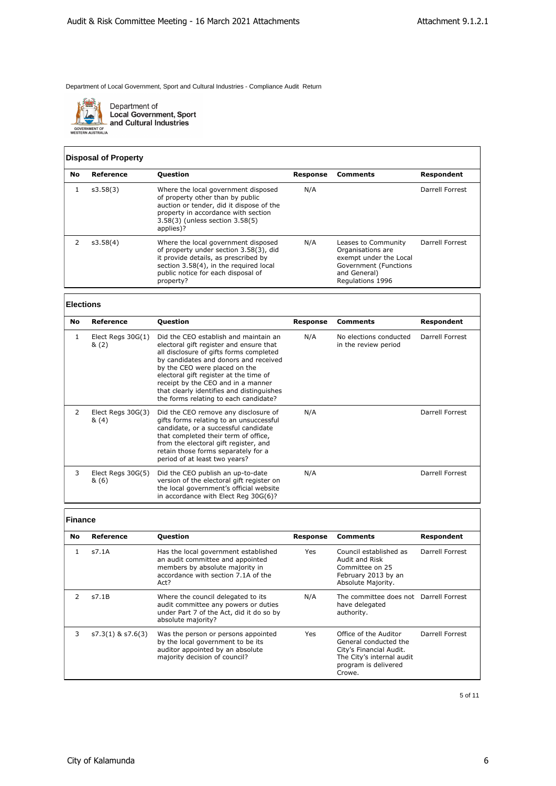

Department of<br>Local Government, Sport<br>and Cultural Industries

## **Disposal of Property**

| No | Reference | <b>Ouestion</b>                                                                                                                                                                                                    | Response | Comments                                                                                                                        | Respondent      |
|----|-----------|--------------------------------------------------------------------------------------------------------------------------------------------------------------------------------------------------------------------|----------|---------------------------------------------------------------------------------------------------------------------------------|-----------------|
|    | s3.58(3)  | Where the local government disposed<br>of property other than by public<br>auction or tender, did it dispose of the<br>property in accordance with section<br>3.58(3) (unless section 3.58(5)<br>applies)?         | N/A      |                                                                                                                                 | Darrell Forrest |
|    | s3.58(4)  | Where the local government disposed<br>of property under section 3.58(3), did<br>it provide details, as prescribed by<br>section 3.58(4), in the required local<br>public notice for each disposal of<br>property? | N/A      | Leases to Community<br>Organisations are<br>exempt under the Local<br>Government (Functions<br>and General)<br>Regulations 1996 | Darrell Forrest |

# **Elections**

| <b>No</b>     | Reference                    | <b>Question</b>                                                                                                                                                                                                                                                                                                                                                             | <b>Response</b> | <b>Comments</b>                                | Respondent      |
|---------------|------------------------------|-----------------------------------------------------------------------------------------------------------------------------------------------------------------------------------------------------------------------------------------------------------------------------------------------------------------------------------------------------------------------------|-----------------|------------------------------------------------|-----------------|
| 1             | Elect Regs $30G(1)$<br>& (2) | Did the CEO establish and maintain an<br>electoral gift register and ensure that<br>all disclosure of gifts forms completed<br>by candidates and donors and received<br>by the CEO were placed on the<br>electoral gift register at the time of<br>receipt by the CEO and in a manner<br>that clearly identifies and distinguishes<br>the forms relating to each candidate? | N/A             | No elections conducted<br>in the review period | Darrell Forrest |
| $\mathcal{P}$ | Elect Regs 30G(3)<br>&(4)    | Did the CEO remove any disclosure of<br>gifts forms relating to an unsuccessful<br>candidate, or a successful candidate<br>that completed their term of office,<br>from the electoral gift register, and<br>retain those forms separately for a<br>period of at least two years?                                                                                            | N/A             |                                                | Darrell Forrest |
| 3             | Elect Regs 30G(5)<br>& (6)   | Did the CEO publish an up-to-date<br>version of the electoral gift register on<br>the local government's official website<br>in accordance with Elect Reg 30G(6)?                                                                                                                                                                                                           | N/A             |                                                | Darrell Forrest |

## **Finance**

| <b>No</b> | Reference             | <b>Question</b>                                                                                                                                            | Response   | <b>Comments</b>                                                                                                                          | <b>Respondent</b> |
|-----------|-----------------------|------------------------------------------------------------------------------------------------------------------------------------------------------------|------------|------------------------------------------------------------------------------------------------------------------------------------------|-------------------|
|           | s7.1A                 | Has the local government established<br>an audit committee and appointed<br>members by absolute majority in<br>accordance with section 7.1A of the<br>Act? | <b>Yes</b> | Council established as<br>Audit and Risk<br>Committee on 25<br>February 2013 by an<br>Absolute Majority.                                 | Darrell Forrest   |
|           | s7.1B                 | Where the council delegated to its<br>audit committee any powers or duties<br>under Part 7 of the Act, did it do so by<br>absolute majority?               | N/A        | The committee does not Darrell Forrest<br>have delegated<br>authority.                                                                   |                   |
| 3         | $s7.3(1)$ & $s7.6(3)$ | Was the person or persons appointed<br>by the local government to be its<br>auditor appointed by an absolute<br>majority decision of council?              | Yes        | Office of the Auditor<br>General conducted the<br>City's Financial Audit.<br>The City's internal audit<br>program is delivered<br>Crowe. | Darrell Forrest   |

5 of 11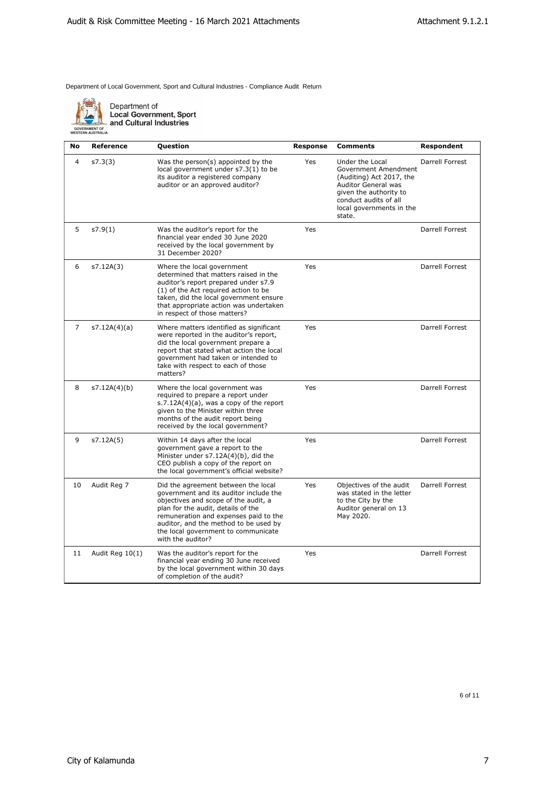

Department of<br>Local Government, Sport<br>and Cultural Industries

| No             | <b>Reference</b> | Question                                                                                                                                                                                                                                                                                                  | <b>Response</b> | <b>Comments</b>                                                                                                                                                                     | Respondent      |
|----------------|------------------|-----------------------------------------------------------------------------------------------------------------------------------------------------------------------------------------------------------------------------------------------------------------------------------------------------------|-----------------|-------------------------------------------------------------------------------------------------------------------------------------------------------------------------------------|-----------------|
| $\overline{4}$ | s7.3(3)          | Was the person(s) appointed by the<br>local government under s7.3(1) to be<br>its auditor a registered company<br>auditor or an approved auditor?                                                                                                                                                         | Yes             | Under the Local<br>Government Amendment<br>(Auditing) Act 2017, the<br>Auditor General was<br>given the authority to<br>conduct audits of all<br>local governments in the<br>state. | Darrell Forrest |
| 5              | s7.9(1)          | Was the auditor's report for the<br>financial year ended 30 June 2020<br>received by the local government by<br>31 December 2020?                                                                                                                                                                         | Yes             |                                                                                                                                                                                     | Darrell Forrest |
| 6              | s7.12A(3)        | Where the local government<br>determined that matters raised in the<br>auditor's report prepared under s7.9<br>(1) of the Act required action to be<br>taken, did the local government ensure<br>that appropriate action was undertaken<br>in respect of those matters?                                   | Yes             |                                                                                                                                                                                     | Darrell Forrest |
| $\overline{7}$ | s7.12A(4)(a)     | Where matters identified as significant<br>were reported in the auditor's report,<br>did the local government prepare a<br>report that stated what action the local<br>government had taken or intended to<br>take with respect to each of those<br>matters?                                              | Yes             |                                                                                                                                                                                     | Darrell Forrest |
| 8              | s7.12A(4)(b)     | Where the local government was<br>required to prepare a report under<br>$s.7.12A(4)(a)$ , was a copy of the report<br>given to the Minister within three<br>months of the audit report being<br>received by the local government?                                                                         | Yes             |                                                                                                                                                                                     | Darrell Forrest |
| 9              | s7.12A(5)        | Within 14 days after the local<br>government gave a report to the<br>Minister under s7.12A(4)(b), did the<br>CEO publish a copy of the report on<br>the local government's official website?                                                                                                              | Yes             |                                                                                                                                                                                     | Darrell Forrest |
| 10             | Audit Reg 7      | Did the agreement between the local<br>government and its auditor include the<br>objectives and scope of the audit, a<br>plan for the audit, details of the<br>remuneration and expenses paid to the<br>auditor, and the method to be used by<br>the local government to communicate<br>with the auditor? | Yes             | Objectives of the audit<br>was stated in the letter<br>to the City by the<br>Auditor general on 13<br>May 2020.                                                                     | Darrell Forrest |
| 11             | Audit Reg 10(1)  | Was the auditor's report for the<br>financial year ending 30 June received<br>by the local government within 30 days<br>of completion of the audit?                                                                                                                                                       | Yes             |                                                                                                                                                                                     | Darrell Forrest |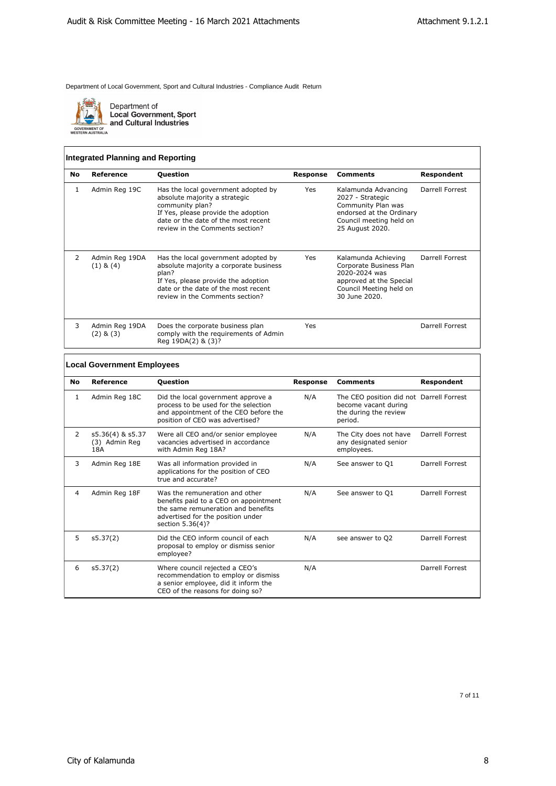

Department of<br>Local Government, Sport<br>and Cultural Industries

## **Integrated Planning and Reporting**

| No            | Reference                       | <b>Question</b>                                                                                                                                                                                          | <b>Response</b> | <b>Comments</b>                                                                                                                         | <b>Respondent</b> |
|---------------|---------------------------------|----------------------------------------------------------------------------------------------------------------------------------------------------------------------------------------------------------|-----------------|-----------------------------------------------------------------------------------------------------------------------------------------|-------------------|
|               | Admin Reg 19C                   | Has the local government adopted by<br>absolute majority a strategic<br>community plan?<br>If Yes, please provide the adoption<br>date or the date of the most recent<br>review in the Comments section? | Yes             | Kalamunda Advancing<br>2027 - Strategic<br>Community Plan was<br>endorsed at the Ordinary<br>Council meeting held on<br>25 August 2020. | Darrell Forrest   |
| $\mathcal{P}$ | Admin Reg 19DA<br>$(1)$ & $(4)$ | Has the local government adopted by<br>absolute majority a corporate business<br>plan?<br>If Yes, please provide the adoption<br>date or the date of the most recent<br>review in the Comments section?  | Yes             | Kalamunda Achieving<br>Corporate Business Plan<br>2020-2024 was<br>approved at the Special<br>Council Meeting held on<br>30 June 2020.  | Darrell Forrest   |
| 3             | Admin Reg 19DA<br>$(2)$ & $(3)$ | Does the corporate business plan<br>comply with the requirements of Admin<br>Reg 19DA(2) & (3)?                                                                                                          | Yes             |                                                                                                                                         | Darrell Forrest   |

# **Local Government Employees**

| <b>No</b> | Reference                                | <b>Question</b>                                                                                                                                                        | <b>Response</b> | <b>Comments</b>                                                                                      | Respondent      |
|-----------|------------------------------------------|------------------------------------------------------------------------------------------------------------------------------------------------------------------------|-----------------|------------------------------------------------------------------------------------------------------|-----------------|
| 1         | Admin Reg 18C                            | Did the local government approve a<br>process to be used for the selection<br>and appointment of the CEO before the<br>position of CEO was advertised?                 | N/A             | The CEO position did not Darrell Forrest<br>become vacant during<br>the during the review<br>period. |                 |
| 2         | s5.36(4) & s5.37<br>(3) Admin Reg<br>18A | Were all CEO and/or senior employee<br>vacancies advertised in accordance<br>with Admin Reg 18A?                                                                       | N/A             | The City does not have<br>any designated senior<br>employees.                                        | Darrell Forrest |
| 3         | Admin Reg 18E                            | Was all information provided in<br>applications for the position of CEO<br>true and accurate?                                                                          | N/A             | See answer to Q1                                                                                     | Darrell Forrest |
| 4         | Admin Reg 18F                            | Was the remuneration and other<br>benefits paid to a CEO on appointment<br>the same remuneration and benefits<br>advertised for the position under<br>section 5.36(4)? | N/A             | See answer to O1                                                                                     | Darrell Forrest |
| 5         | s5.37(2)                                 | Did the CEO inform council of each<br>proposal to employ or dismiss senior<br>employee?                                                                                | N/A             | see answer to Q2                                                                                     | Darrell Forrest |
| 6         | s5.37(2)                                 | Where council rejected a CEO's<br>recommendation to employ or dismiss<br>a senior employee, did it inform the<br>CEO of the reasons for doing so?                      | N/A             |                                                                                                      | Darrell Forrest |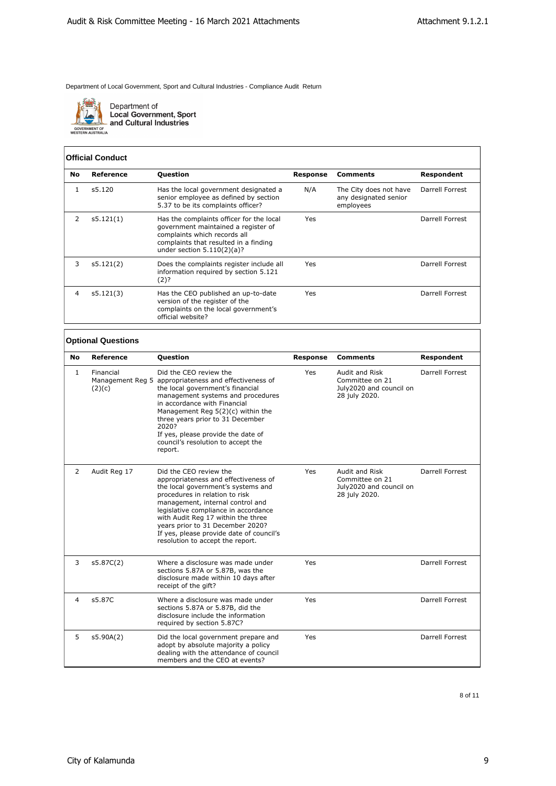

Department of<br>Local Government, Sport<br>and Cultural Industries

#### **Official Conduct**

| <b>No</b> | Reference | <b>Question</b>                                                                                                                                                                          | Response | <b>Comments</b>                                              | Respondent      |
|-----------|-----------|------------------------------------------------------------------------------------------------------------------------------------------------------------------------------------------|----------|--------------------------------------------------------------|-----------------|
|           | s5.120    | Has the local government designated a<br>senior employee as defined by section<br>5.37 to be its complaints officer?                                                                     | N/A      | The City does not have<br>any designated senior<br>employees | Darrell Forrest |
|           | s5.121(1) | Has the complaints officer for the local<br>government maintained a register of<br>complaints which records all<br>complaints that resulted in a finding<br>under section $5.110(2)(a)?$ | Yes      |                                                              | Darrell Forrest |
| 3         | s5.121(2) | Does the complaints register include all<br>information required by section 5.121<br>(2)?                                                                                                | Yes      |                                                              | Darrell Forrest |
| 4         | s5.121(3) | Has the CEO published an up-to-date<br>version of the register of the<br>complaints on the local government's<br>official website?                                                       | Yes      |                                                              | Darrell Forrest |

#### **Optional Questions**

| No           | Reference           | <b>Question</b>                                                                                                                                                                                                                                                                                                                                                              | <b>Response</b> | Comments                                                                      | Respondent      |
|--------------|---------------------|------------------------------------------------------------------------------------------------------------------------------------------------------------------------------------------------------------------------------------------------------------------------------------------------------------------------------------------------------------------------------|-----------------|-------------------------------------------------------------------------------|-----------------|
| $\mathbf{1}$ | Financial<br>(2)(c) | Did the CEO review the<br>Management Reg 5 appropriateness and effectiveness of<br>the local government's financial<br>management systems and procedures<br>in accordance with Financial<br>Management Reg 5(2)(c) within the<br>three years prior to 31 December<br>2020?<br>If yes, please provide the date of<br>council's resolution to accept the<br>report.            | Yes             | Audit and Risk<br>Committee on 21<br>July2020 and council on<br>28 july 2020. | Darrell Forrest |
| 2            | Audit Reg 17        | Did the CEO review the<br>appropriateness and effectiveness of<br>the local government's systems and<br>procedures in relation to risk<br>management, internal control and<br>legislative compliance in accordance<br>with Audit Reg 17 within the three<br>years prior to 31 December 2020?<br>If yes, please provide date of council's<br>resolution to accept the report. | Yes             | Audit and Risk<br>Committee on 21<br>July2020 and council on<br>28 july 2020. | Darrell Forrest |
| 3            | s5.87C(2)           | Where a disclosure was made under<br>sections 5.87A or 5.87B, was the<br>disclosure made within 10 days after<br>receipt of the gift?                                                                                                                                                                                                                                        | Yes             |                                                                               | Darrell Forrest |
| 4            | s5.87C              | Where a disclosure was made under<br>sections 5.87A or 5.87B, did the<br>disclosure include the information<br>required by section 5.87C?                                                                                                                                                                                                                                    | Yes             |                                                                               | Darrell Forrest |
| 5            | s5.90A(2)           | Did the local government prepare and<br>adopt by absolute majority a policy<br>dealing with the attendance of council<br>members and the CEO at events?                                                                                                                                                                                                                      | Yes             |                                                                               | Darrell Forrest |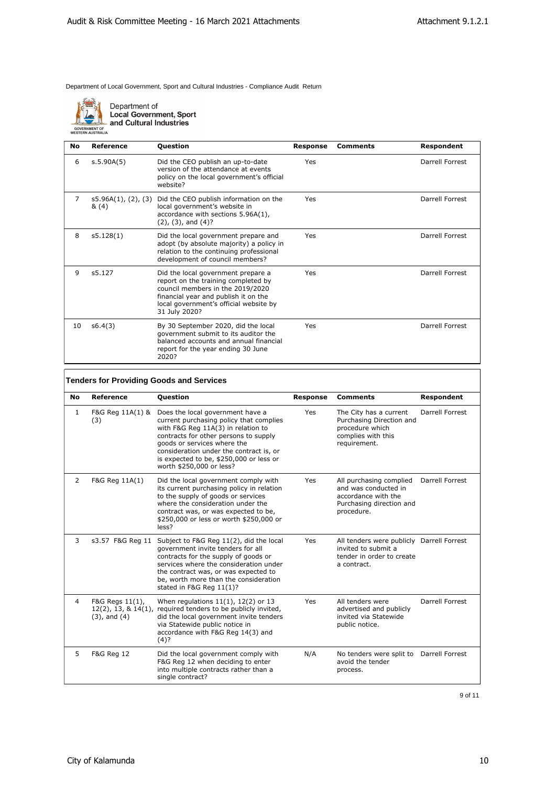

Department of<br>Local Government, Sport<br>and Cultural Industries

| No | Reference                           | <b>Question</b>                                                                                                                                                                                                  | <b>Response</b> | <b>Comments</b> | Respondent      |
|----|-------------------------------------|------------------------------------------------------------------------------------------------------------------------------------------------------------------------------------------------------------------|-----------------|-----------------|-----------------|
| 6  | s.5.90A(5)                          | Did the CEO publish an up-to-date<br>version of the attendance at events<br>policy on the local government's official<br>website?                                                                                | Yes             |                 | Darrell Forrest |
| 7  | $s5.96A(1)$ , $(2)$ , $(3)$<br>&(4) | Did the CEO publish information on the<br>local government's website in<br>accordance with sections 5.96A(1),<br>$(2)$ , $(3)$ , and $(4)$ ?                                                                     | Yes             |                 | Darrell Forrest |
| 8  | s5.128(1)                           | Did the local government prepare and<br>adopt (by absolute majority) a policy in<br>relation to the continuing professional<br>development of council members?                                                   | Yes             |                 | Darrell Forrest |
| 9  | s5.127                              | Did the local government prepare a<br>report on the training completed by<br>council members in the 2019/2020<br>financial year and publish it on the<br>local government's official website by<br>31 July 2020? | Yes             |                 | Darrell Forrest |
| 10 | s6.4(3)                             | By 30 September 2020, did the local<br>government submit to its auditor the<br>balanced accounts and annual financial<br>report for the year ending 30 June<br>2020?                                             | Yes             |                 | Darrell Forrest |

# **Tenders for Providing Goods and Services**

| No             | Reference                                                         | <b>Question</b>                                                                                                                                                                                                                                                                                             | <b>Response</b> | <b>Comments</b>                                                                                                  | <b>Respondent</b> |
|----------------|-------------------------------------------------------------------|-------------------------------------------------------------------------------------------------------------------------------------------------------------------------------------------------------------------------------------------------------------------------------------------------------------|-----------------|------------------------------------------------------------------------------------------------------------------|-------------------|
| 1              | F&G Reg 11A(1) &<br>(3)                                           | Does the local government have a<br>current purchasing policy that complies<br>with F&G Reg 11A(3) in relation to<br>contracts for other persons to supply<br>goods or services where the<br>consideration under the contract is, or<br>is expected to be, \$250,000 or less or<br>worth \$250,000 or less? | Yes             | The City has a current<br>Purchasing Direction and<br>procedure which<br>complies with this<br>requirement.      | Darrell Forrest   |
| $\overline{2}$ | F&G Reg 11A(1)                                                    | Did the local government comply with<br>its current purchasing policy in relation<br>to the supply of goods or services<br>where the consideration under the<br>contract was, or was expected to be,<br>\$250,000 or less or worth \$250,000 or<br>less?                                                    | Yes             | All purchasing complied<br>and was conducted in<br>accordance with the<br>Purchasing direction and<br>procedure. | Darrell Forrest   |
| 3              |                                                                   | s3.57 F&G Reg 11 Subject to F&G Reg 11(2), did the local<br>government invite tenders for all<br>contracts for the supply of goods or<br>services where the consideration under<br>the contract was, or was expected to<br>be, worth more than the consideration<br>stated in F&G Reg 11(1)?                | Yes             | All tenders were publicly Darrell Forrest<br>invited to submit a<br>tender in order to create<br>a contract.     |                   |
| 4              | F&G Regs 11(1),<br>$12(2)$ , 13, & $14(1)$ ,<br>$(3)$ , and $(4)$ | When regulations $11(1)$ , $12(2)$ or 13<br>required tenders to be publicly invited,<br>did the local government invite tenders<br>via Statewide public notice in<br>accordance with F&G Reg 14(3) and<br>$(4)$ ?                                                                                           | Yes             | All tenders were<br>advertised and publicly<br>invited via Statewide<br>public notice.                           | Darrell Forrest   |
| 5              | F&G Reg 12                                                        | Did the local government comply with<br>F&G Reg 12 when deciding to enter<br>into multiple contracts rather than a<br>single contract?                                                                                                                                                                      | N/A             | No tenders were split to Darrell Forrest<br>avoid the tender<br>process.                                         |                   |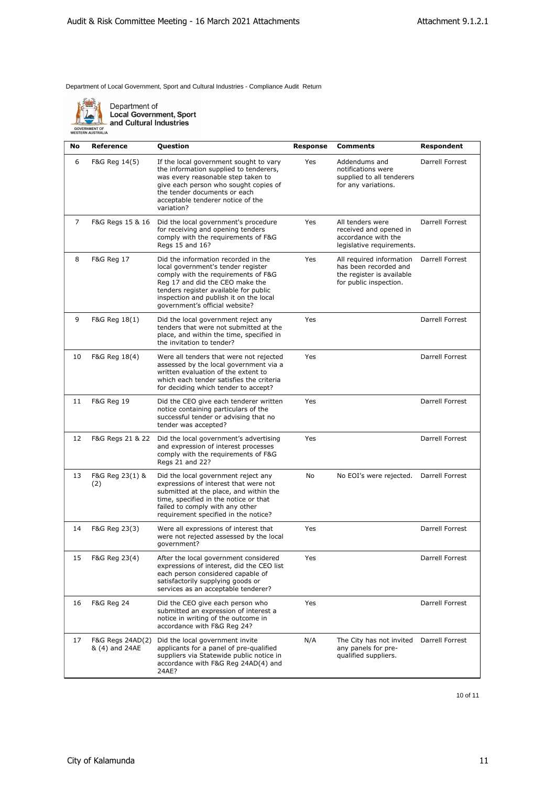

Department of<br>Local Government, Sport<br>and Cultural Industries

| No             | <b>Reference</b>                   | Question                                                                                                                                                                                                                                                                 | Response | <b>Comments</b>                                                                                          | Respondent      |
|----------------|------------------------------------|--------------------------------------------------------------------------------------------------------------------------------------------------------------------------------------------------------------------------------------------------------------------------|----------|----------------------------------------------------------------------------------------------------------|-----------------|
| 6              | F&G Reg 14(5)                      | If the local government sought to vary<br>the information supplied to tenderers,<br>was every reasonable step taken to<br>give each person who sought copies of<br>the tender documents or each<br>acceptable tenderer notice of the<br>variation?                       | Yes      | Addendums and<br>notifications were<br>supplied to all tenderers<br>for any variations.                  | Darrell Forrest |
| $\overline{7}$ | F&G Regs 15 & 16                   | Did the local government's procedure<br>for receiving and opening tenders<br>comply with the requirements of F&G<br>Regs 15 and 16?                                                                                                                                      | Yes      | All tenders were<br>received and opened in<br>accordance with the<br>legislative requirements.           | Darrell Forrest |
| 8              | <b>F&amp;G Reg 17</b>              | Did the information recorded in the<br>local government's tender register<br>comply with the requirements of F&G<br>Reg 17 and did the CEO make the<br>tenders register available for public<br>inspection and publish it on the local<br>government's official website? | Yes      | All required information<br>has been recorded and<br>the register is available<br>for public inspection. | Darrell Forrest |
| 9              | F&G Reg 18(1)                      | Did the local government reject any<br>tenders that were not submitted at the<br>place, and within the time, specified in<br>the invitation to tender?                                                                                                                   | Yes      |                                                                                                          | Darrell Forrest |
| 10             | F&G Reg 18(4)                      | Were all tenders that were not rejected<br>assessed by the local government via a<br>written evaluation of the extent to<br>which each tender satisfies the criteria<br>for deciding which tender to accept?                                                             | Yes      |                                                                                                          | Darrell Forrest |
| 11             | <b>F&amp;G Reg 19</b>              | Did the CEO give each tenderer written<br>notice containing particulars of the<br>successful tender or advising that no<br>tender was accepted?                                                                                                                          | Yes      |                                                                                                          | Darrell Forrest |
| 12             | F&G Regs 21 & 22                   | Did the local government's advertising<br>and expression of interest processes<br>comply with the requirements of F&G<br>Regs 21 and 22?                                                                                                                                 | Yes      |                                                                                                          | Darrell Forrest |
| 13             | F&G Reg 23(1) &<br>(2)             | Did the local government reject any<br>expressions of interest that were not<br>submitted at the place, and within the<br>time, specified in the notice or that<br>failed to comply with any other<br>requirement specified in the notice?                               | No       | No EOI's were rejected.                                                                                  | Darrell Forrest |
| 14             | F&G Reg 23(3)                      | Were all expressions of interest that<br>were not rejected assessed by the local<br>government?                                                                                                                                                                          | Yes      |                                                                                                          | Darrell Forrest |
|                | F&G Reg 23(4)                      | After the local government considered<br>expressions of interest, did the CEO list<br>each person considered capable of<br>satisfactorily supplying goods or<br>services as an acceptable tenderer?                                                                      | Yes      |                                                                                                          | Darrell Forrest |
| 16             | <b>F&amp;G Reg 24</b>              | Did the CEO give each person who<br>submitted an expression of interest a<br>notice in writing of the outcome in<br>accordance with F&G Reg 24?                                                                                                                          | Yes      |                                                                                                          | Darrell Forrest |
| 17             | F&G Regs 24AD(2)<br>& (4) and 24AE | Did the local government invite<br>applicants for a panel of pre-qualified<br>suppliers via Statewide public notice in<br>accordance with F&G Reg 24AD(4) and<br>24AE?                                                                                                   | N/A      | The City has not invited<br>any panels for pre-<br>qualified suppliers.                                  | Darrell Forrest |